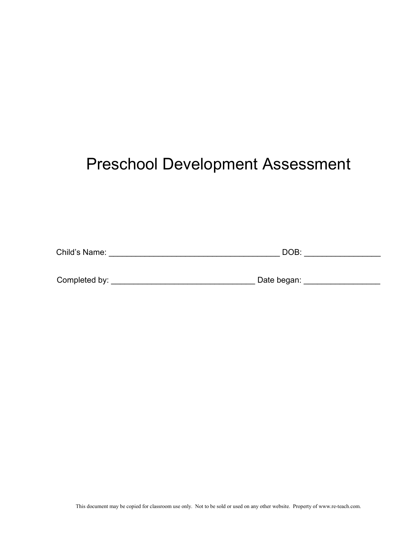# Preschool Development Assessment

| Child's Name: | $\cap$ R<br>10 |  |
|---------------|----------------|--|
|               |                |  |

| Completed by: |  | Date began: |  |
|---------------|--|-------------|--|
|---------------|--|-------------|--|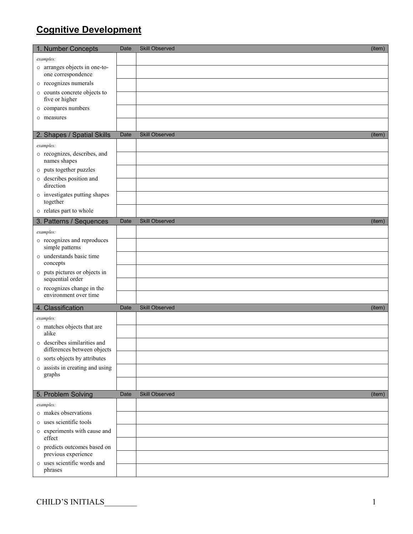## Cognitive Development

| 1. Number Concepts                                          | Date        | <b>Skill Observed</b> | (item) |
|-------------------------------------------------------------|-------------|-----------------------|--------|
| examples:                                                   |             |                       |        |
| o arranges objects in one-to-<br>one correspondence         |             |                       |        |
| o recognizes numerals                                       |             |                       |        |
| o counts concrete objects to                                |             |                       |        |
| five or higher<br>o compares numbers                        |             |                       |        |
| o measures                                                  |             |                       |        |
|                                                             |             |                       |        |
| 2. Shapes / Spatial Skills                                  | <b>Date</b> | <b>Skill Observed</b> | (item) |
| examples:                                                   |             |                       |        |
| o recognizes, describes, and<br>names shapes                |             |                       |        |
| o puts together puzzles                                     |             |                       |        |
| o describes position and<br>direction                       |             |                       |        |
| o investigates putting shapes<br>together                   |             |                       |        |
| o relates part to whole                                     |             |                       |        |
| 3. Patterns / Sequences                                     | Date        | Skill Observed        | (item) |
| examples:                                                   |             |                       |        |
| o recognizes and reproduces<br>simple patterns              |             |                       |        |
| o understands basic time<br>concepts                        |             |                       |        |
| o puts pictures or objects in<br>sequential order           |             |                       |        |
| o recognizes change in the<br>environment over time         |             |                       |        |
| 4. Classification                                           | Date        | <b>Skill Observed</b> | (item) |
|                                                             |             |                       |        |
| examples:<br>o matches objects that are                     |             |                       |        |
| alike                                                       |             |                       |        |
| o describes similarities and<br>differences between objects |             |                       |        |
| o sorts objects by attributes                               |             |                       |        |
| o assists in creating and using<br>graphs                   |             |                       |        |
|                                                             |             |                       |        |
| 5. Problem Solving                                          | Date        | Skill Observed        | (item) |
| examples:                                                   |             |                       |        |
| o makes observations                                        |             |                       |        |
| o uses scientific tools                                     |             |                       |        |
| o experiments with cause and<br>effect                      |             |                       |        |
| o predicts outcomes based on<br>previous experience         |             |                       |        |
| o uses scientific words and<br>phrases                      |             |                       |        |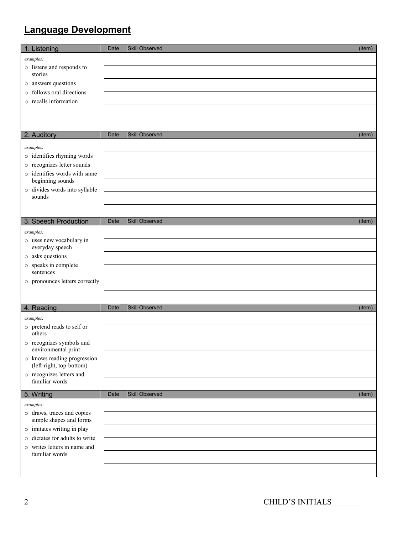## Language Development

| 1. Listening                                          | Date | Skill Observed<br>(item)        |
|-------------------------------------------------------|------|---------------------------------|
| examples:                                             |      |                                 |
| o listens and responds to                             |      |                                 |
| stories                                               |      |                                 |
| o answers questions                                   |      |                                 |
| o follows oral directions                             |      |                                 |
| o recalls information                                 |      |                                 |
|                                                       |      |                                 |
|                                                       |      |                                 |
| 2. Auditory                                           | Date | <b>Skill Observed</b><br>(item) |
|                                                       |      |                                 |
| examples:<br>o identifies rhyming words               |      |                                 |
| o recognizes letter sounds                            |      |                                 |
| o identifies words with same                          |      |                                 |
| beginning sounds                                      |      |                                 |
| o divides words into syllable                         |      |                                 |
| sounds                                                |      |                                 |
|                                                       |      |                                 |
| 3. Speech Production                                  | Date | Skill Observed<br>(item)        |
| examples:                                             |      |                                 |
| o uses new vocabulary in                              |      |                                 |
| everyday speech                                       |      |                                 |
| o asks questions                                      |      |                                 |
| o speaks in complete                                  |      |                                 |
| sentences                                             |      |                                 |
| o pronounces letters correctly                        |      |                                 |
|                                                       |      |                                 |
| 4. Reading                                            | Date | Skill Observed<br>(item)        |
| examples:                                             |      |                                 |
| o pretend reads to self or                            |      |                                 |
| others                                                |      |                                 |
| o recognizes symbols and<br>environmental print       |      |                                 |
| o knows reading progression                           |      |                                 |
| (left-right, top-bottom)<br>o recognizes letters and  |      |                                 |
| familiar words                                        |      |                                 |
| 5. Writing                                            | Date | Skill Observed<br>(item)        |
| examples:                                             |      |                                 |
| o draws, traces and copies<br>simple shapes and forms |      |                                 |
| o imitates writing in play                            |      |                                 |
| o dictates for adults to write                        |      |                                 |
| o writes letters in name and                          |      |                                 |
| familiar words                                        |      |                                 |
|                                                       |      |                                 |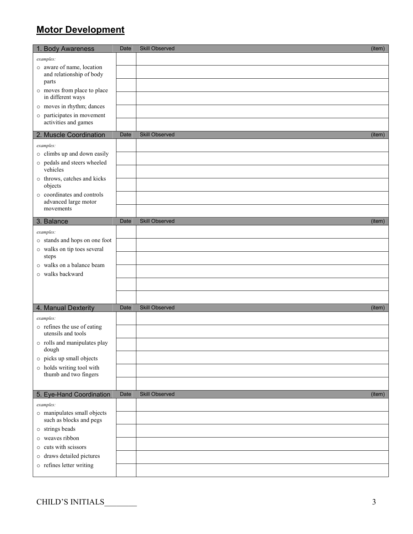## Motor Development

| 1. Body Awareness                                  | Date | Skill Observed        | (item) |
|----------------------------------------------------|------|-----------------------|--------|
| examples:                                          |      |                       |        |
| o aware of name, location                          |      |                       |        |
| and relationship of body<br>parts                  |      |                       |        |
| o moves from place to place                        |      |                       |        |
| in different ways                                  |      |                       |        |
| o moves in rhythm; dances                          |      |                       |        |
| o participates in movement<br>activities and games |      |                       |        |
|                                                    |      |                       |        |
| 2. Muscle Coordination                             | Date | <b>Skill Observed</b> | (item) |
| examples:<br>o climbs up and down easily           |      |                       |        |
| o pedals and steers wheeled                        |      |                       |        |
| vehicles                                           |      |                       |        |
| o throws, catches and kicks                        |      |                       |        |
| objects<br>o coordinates and controls              |      |                       |        |
| advanced large motor                               |      |                       |        |
| movements                                          |      |                       |        |
| 3. Balance                                         | Date | <b>Skill Observed</b> | (item) |
| examples:                                          |      |                       |        |
| o stands and hops on one foot                      |      |                       |        |
| o walks on tip toes several<br>steps               |      |                       |        |
| o walks on a balance beam                          |      |                       |        |
| o walks backward                                   |      |                       |        |
|                                                    |      |                       |        |
|                                                    |      |                       |        |
|                                                    |      | <b>Skill Observed</b> |        |
| 4. Manual Dexterity                                | Date |                       | (item) |
| examples:<br>o refines the use of eating           |      |                       |        |
| utensils and tools                                 |      |                       |        |
| $\circ~$ rolls and manipulates play<br>dough       |      |                       |        |
| o picks up small objects                           |      |                       |        |
| o holds writing tool with                          |      |                       |        |
| thumb and two fingers                              |      |                       |        |
| 5. Eye-Hand Coordination                           | Date | Skill Observed        | (item) |
| examples:                                          |      |                       |        |
| o manipulates small objects                        |      |                       |        |
| such as blocks and pegs                            |      |                       |        |
| o strings beads                                    |      |                       |        |
| weaves ribbon<br>$\circ$<br>cuts with scissors     |      |                       |        |
| $\circ$<br>draws detailed pictures<br>$\circ$      |      |                       |        |
| o refines letter writing                           |      |                       |        |
|                                                    |      |                       |        |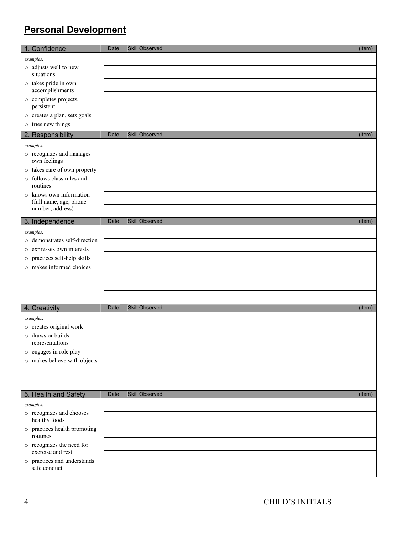### Personal Development

| 1. Confidence                                  | Date | Skill Observed        | (item) |
|------------------------------------------------|------|-----------------------|--------|
| examples:                                      |      |                       |        |
| o adjusts well to new                          |      |                       |        |
| situations<br>o takes pride in own             |      |                       |        |
| accomplishments                                |      |                       |        |
| o completes projects,                          |      |                       |        |
| persistent<br>o creates a plan, sets goals     |      |                       |        |
| o tries new things                             |      |                       |        |
| 2. Responsibility                              | Date | <b>Skill Observed</b> | (item) |
| examples:                                      |      |                       |        |
| o recognizes and manages<br>own feelings       |      |                       |        |
| o takes care of own property                   |      |                       |        |
| o follows class rules and<br>routines          |      |                       |        |
| o knows own information                        |      |                       |        |
| (full name, age, phone<br>number, address)     |      |                       |        |
| 3. Independence                                | Date | Skill Observed        | (item) |
| examples:                                      |      |                       |        |
| o demonstrates self-direction                  |      |                       |        |
| o expresses own interests                      |      |                       |        |
| o practices self-help skills                   |      |                       |        |
| o makes informed choices                       |      |                       |        |
|                                                |      |                       |        |
|                                                |      |                       |        |
|                                                |      | <b>Skill Observed</b> |        |
| 4. Creativity                                  | Date |                       | (item) |
| examples:<br>o creates original work           |      |                       |        |
| o draws or builds                              |      |                       |        |
| representations                                |      |                       |        |
| o engages in role play                         |      |                       |        |
| o makes believe with objects                   |      |                       |        |
|                                                |      |                       |        |
|                                                |      |                       |        |
| 5. Health and Safety                           | Date | Skill Observed        | (item) |
| examples:                                      |      |                       |        |
| o recognizes and chooses<br>healthy foods      |      |                       |        |
| o practices health promoting<br>routines       |      |                       |        |
| o recognizes the need for<br>exercise and rest |      |                       |        |
| o practices and understands                    |      |                       |        |
| safe conduct                                   |      |                       |        |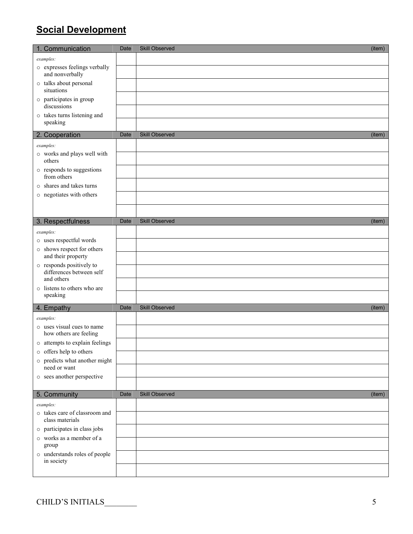### Social Development

| 1. Communication                                     | Date | Skill Observed<br>(item)        |
|------------------------------------------------------|------|---------------------------------|
| examples:                                            |      |                                 |
| o expresses feelings verbally<br>and nonverbally     |      |                                 |
| o talks about personal                               |      |                                 |
| situations<br>o participates in group                |      |                                 |
| discussions                                          |      |                                 |
| o takes turns listening and<br>speaking              |      |                                 |
| 2. Cooperation                                       | Date | <b>Skill Observed</b><br>(item) |
| examples:                                            |      |                                 |
| o works and plays well with<br>others                |      |                                 |
| o responds to suggestions<br>from others             |      |                                 |
| o shares and takes turns                             |      |                                 |
| o negotiates with others                             |      |                                 |
|                                                      |      |                                 |
| 3. Respectfulness                                    | Date | Skill Observed<br>(item)        |
| examples:                                            |      |                                 |
| o uses respectful words                              |      |                                 |
| o shows respect for others<br>and their property     |      |                                 |
| o responds positively to<br>differences between self |      |                                 |
| and others<br>o listens to others who are            |      |                                 |
| speaking                                             |      |                                 |
| 4. Empathy                                           | Date | Skill Observed<br>(item)        |
| examples:                                            |      |                                 |
| o uses visual cues to name<br>how others are feeling |      |                                 |
| o attempts to explain feelings                       |      |                                 |
| o offers help to others                              |      |                                 |
| o predicts what another might<br>need or want        |      |                                 |
| o sees another perspective                           |      |                                 |
|                                                      |      |                                 |
| 5. Community                                         | Date | Skill Observed<br>(item)        |
| examples:                                            |      |                                 |
| o takes care of classroom and<br>class materials     |      |                                 |
| o participates in class jobs                         |      |                                 |
| $\circ$ works as a member of a<br>group              |      |                                 |
| o understands roles of people<br>in society          |      |                                 |
|                                                      |      |                                 |